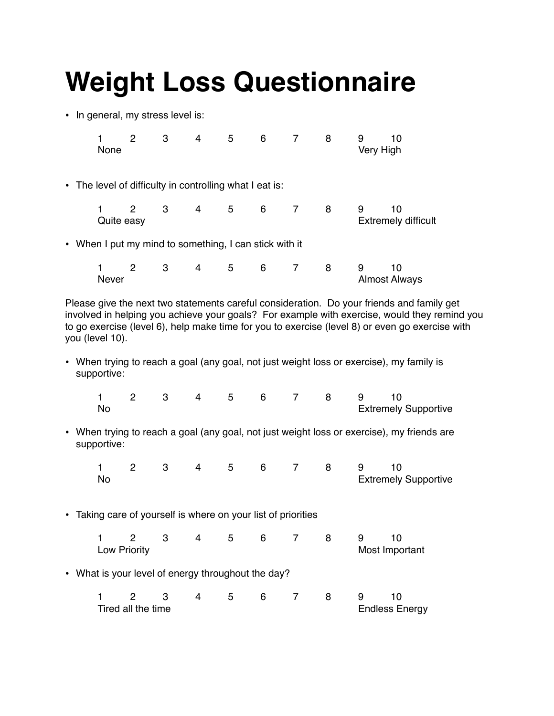## **Weight Loss Questionnaire**

• In general, my stress level is:

| None         | $\overline{2}$ | 3                                                       | $4 \quad$ | 5 <sup>5</sup> | 6   | 8  | 9<br>Very High | 10                                                                                    |
|--------------|----------------|---------------------------------------------------------|-----------|----------------|-----|----|----------------|---------------------------------------------------------------------------------------|
|              |                | • The level of difficulty in controlling what I eat is: |           |                |     |    |                |                                                                                       |
| Quite easy   |                | $2 \quad 3 \quad 4 \quad 5$                             |           |                | 6 7 | -8 | 9              | 10<br><b>Extremely difficult</b>                                                      |
|              |                | • When I put my mind to something, I can stick with it  |           |                |     |    |                |                                                                                       |
| <b>Never</b> |                | 2 3 4 5 6 7 8                                           |           |                |     |    | 9              | 10<br><b>Almost Always</b>                                                            |
|              |                |                                                         |           |                |     |    |                | Please give the next two statements careful consideration. Do your friends and family |

Please give the next two statements careful consideration. Do your friends and family get involved in helping you achieve your goals? For example with exercise, would they remind you to go exercise (level 6), help make time for you to exercise (level 8) or even go exercise with you (level 10).

• When trying to reach a goal (any goal, not just weight loss or exercise), my family is supportive:

|      |  |  |  | 1 2 3 4 5 6 7 8 9 10 |                             |  |
|------|--|--|--|----------------------|-----------------------------|--|
| - No |  |  |  |                      | <b>Extremely Supportive</b> |  |

• When trying to reach a goal (any goal, not just weight loss or exercise), my friends are supportive:

|    |  |  | 1 2 3 4 5 6 7 8 9 10 |  |                             |  |
|----|--|--|----------------------|--|-----------------------------|--|
| No |  |  |                      |  | <b>Extremely Supportive</b> |  |

• Taking care of yourself is where on your list of priorities

|                     |  |  | 1 2 3 4 5 6 7 8 |  |        |  | - 9 |                |  |
|---------------------|--|--|-----------------|--|--------|--|-----|----------------|--|
| <b>Low Priority</b> |  |  |                 |  |        |  |     | Most Important |  |
| __                  |  |  |                 |  | ______ |  |     |                |  |

• What is your level of energy throughout the day?

| Tired all the time |  |  |  |  |  | <b>Endless Energy</b> |  |
|--------------------|--|--|--|--|--|-----------------------|--|